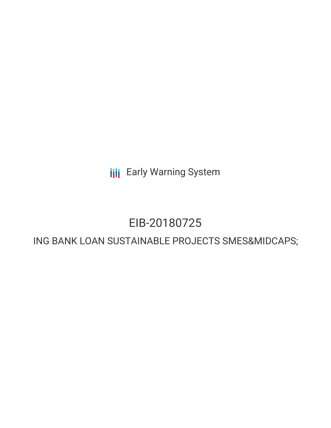**III** Early Warning System

# EIB-20180725

# ING BANK LOAN SUSTAINABLE PROJECTS SMES&MIDCAPS;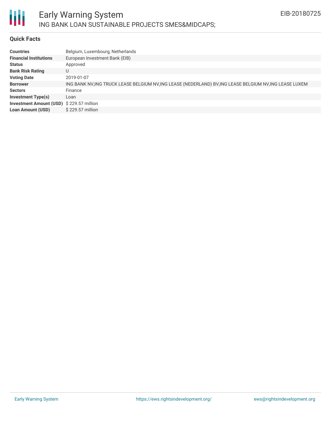

# **Quick Facts**

| <b>Countries</b>                         | Belgium, Luxembourg, Netherlands                                                                         |
|------------------------------------------|----------------------------------------------------------------------------------------------------------|
| <b>Financial Institutions</b>            | European Investment Bank (EIB)                                                                           |
| <b>Status</b>                            | Approved                                                                                                 |
| <b>Bank Risk Rating</b>                  | U                                                                                                        |
| <b>Voting Date</b>                       | 2019-01-07                                                                                               |
| <b>Borrower</b>                          | ING BANK NV, ING TRUCK LEASE BELGIUM NV, ING LEASE (NEDERLAND) BV, ING LEASE BELGIUM NV, ING LEASE LUXEM |
| <b>Sectors</b>                           | Finance                                                                                                  |
| <b>Investment Type(s)</b>                | Loan                                                                                                     |
| Investment Amount (USD) \$229.57 million |                                                                                                          |
| <b>Loan Amount (USD)</b>                 | \$229.57 million                                                                                         |
|                                          |                                                                                                          |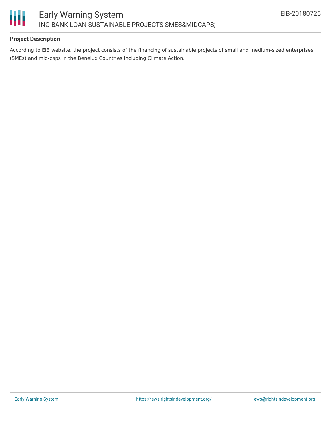

# **Project Description**

According to EIB website, the project consists of the financing of sustainable projects of small and medium-sized enterprises (SMEs) and mid-caps in the Benelux Countries including Climate Action.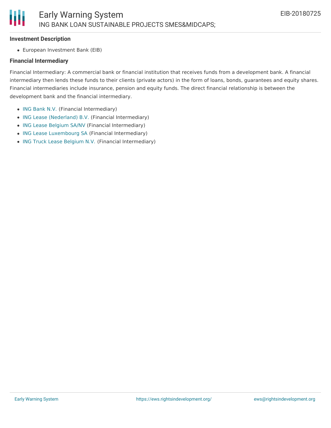#### **Investment Description**

Ш

European Investment Bank (EIB)

## **Financial Intermediary**

Financial Intermediary: A commercial bank or financial institution that receives funds from a development bank. A financial intermediary then lends these funds to their clients (private actors) in the form of loans, bonds, guarantees and equity shares. Financial intermediaries include insurance, pension and equity funds. The direct financial relationship is between the development bank and the financial intermediary.

- ING [Bank](file:///actor/2072/) N.V. (Financial Intermediary)
- ING Lease [\(Nederland\)](file:///actor/2074/) B.V. (Financial Intermediary)
- ING Lease [Belgium](file:///actor/2075/) SA/NV (Financial Intermediary)
- ING Lease [Luxembourg](file:///actor/2076/) SA (Financial Intermediary)
- ING Truck Lease [Belgium](file:///actor/2073/) N.V. (Financial Intermediary)